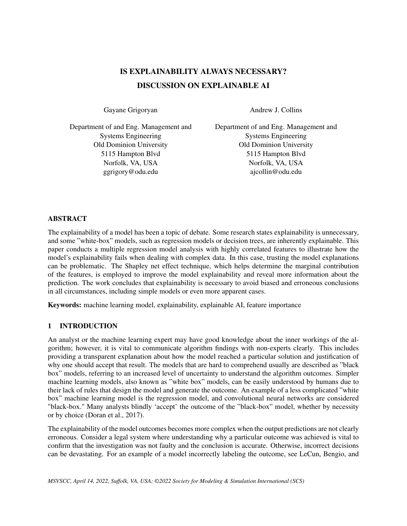# IS EXPLAINABILITY ALWAYS NECESSARY? DISCUSSION ON EXPLAINABLE AI

Gayane Grigoryan

Andrew J. Collins

Department of and Eng. Management and Systems Engineering Old Dominion University 5115 Hampton Blvd Norfolk, VA, USA ggrigory@odu.edu

Department of and Eng. Management and Systems Engineering Old Dominion University 5115 Hampton Blvd Norfolk, VA, USA ajcollin@odu.edu

## ABSTRACT

The explainability of a model has been a topic of debate. Some research states explainability is unnecessary, and some "white-box" models, such as regression models or decision trees, are inherently explainable. This paper conducts a multiple regression model analysis with highly correlated features to illustrate how the model's explainability fails when dealing with complex data. In this case, trusting the model explanations can be problematic. The Shapley net effect technique, which helps determine the marginal contribution of the features, is employed to improve the model explainability and reveal more information about the prediction. The work concludes that explainability is necessary to avoid biased and erroneous conclusions in all circumstances, including simple models or even more apparent cases.

Keywords: machine learning model, explainability, explainable AI, feature importance

## 1 INTRODUCTION

An analyst or the machine learning expert may have good knowledge about the inner workings of the algorithm; however, it is vital to communicate algorithm findings with non-experts clearly. This includes providing a transparent explanation about how the model reached a particular solution and justification of why one should accept that result. The models that are hard to comprehend usually are described as "black" box" models, referring to an increased level of uncertainty to understand the algorithm outcomes. Simpler machine learning models, also known as "white box" models, can be easily understood by humans due to their lack of rules that design the model and generate the outcome. An example of a less complicated "white box" machine learning model is the regression model, and convolutional neural networks are considered "black-box." Many analysts blindly 'accept' the outcome of the "black-box" model, whether by necessity or by choice [\(Doran et al., 2017\)](#page-8-0).

The explainability of the model outcomes becomes more complex when the output predictions are not clearly erroneous. Consider a legal system where understanding why a particular outcome was achieved is vital to confirm that the investigation was not faulty and the conclusion is accurate. Otherwise, incorrect decisions can be devastating. For an example of a model incorrectly labeling the outcome, see LeCun, Bengio, and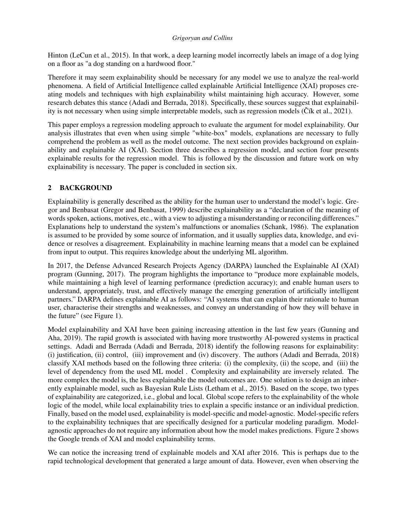Hinton [\(LeCun et al., 2015\)](#page-9-0). In that work, a deep learning model incorrectly labels an image of a dog lying on a floor as "a dog standing on a hardwood floor."

Therefore it may seem explainability should be necessary for any model we use to analyze the real-world phenomena. A field of Artificial Intelligence called explainable Artificial Intelligence (XAI) proposes creating models and techniques with high explainability whilst maintaining high accuracy. However, some research debates this stance [\(Adadi and Berrada, 2018\)](#page-8-1). Specifically, these sources suggest that explainability is not necessary when using simple interpretable models, such as regression models ( $\check{C}$ ík et al., 2021).

This paper employs a regression modeling approach to evaluate the argument for model explainability. Our analysis illustrates that even when using simple "white-box" models, explanations are necessary to fully comprehend the problem as well as the model outcome. The next section provides background on explainability and explainable AI (XAI). Section three describes a regression model, and section four presents explainable results for the regression model. This is followed by the discussion and future work on why explainability is necessary. The paper is concluded in section six.

## 2 BACKGROUND

Explainability is generally described as the ability for the human user to understand the model's logic. Gregor and Benbasat [\(Gregor and Benbasat, 1999\)](#page-9-1) describe explainability as a "declaration of the meaning of words spoken, actions, motives, etc., with a view to adjusting a misunderstanding or reconciling differences." Explanations help to understand the system's malfunctions or anomalies [\(Schank, 1986\)](#page-9-2). The explanation is assumed to be provided by some source of information, and it usually supplies data, knowledge, and evidence or resolves a disagreement. Explainability in machine learning means that a model can be explained from input to output. This requires knowledge about the underlying ML algorithm.

In 2017, the Defense Advanced Research Projects Agency (DARPA) launched the Explainable AI (XAI) program [\(Gunning, 2017\)](#page-9-3). The program highlights the importance to "produce more explainable models, while maintaining a high level of learning performance (prediction accuracy); and enable human users to understand, appropriately, trust, and effectively manage the emerging generation of artificially intelligent partners." DARPA defines explainable AI as follows: "AI systems that can explain their rationale to human user, characterise their strengths and weaknesses, and convey an understanding of how they will behave in the future" (see Figure 1).

Model explainability and XAI have been gaining increasing attention in the last few years [\(Gunning and](#page-9-4) [Aha, 2019\)](#page-9-4). The rapid growth is associated with having more trustworthy AI-powered systems in practical settings. Adadi and Berrada [\(Adadi and Berrada, 2018\)](#page-8-1) identify the following reasons for explainability: (i) justification, (ii) control, (iii) improvement and (iv) discovery. The authors [\(Adadi and Berrada, 2018\)](#page-8-1) classify XAI methods based on the following three criteria: (i) the complexity, (ii) the scope, and (iii) the level of dependency from the used ML model . Complexity and explainability are inversely related. The more complex the model is, the less explainable the model outcomes are. One solution is to design an inherently explainable model, such as Bayesian Rule Lists [\(Letham et al., 2015\)](#page-9-5). Based on the scope, two types of explainability are categorized, i.e., global and local. Global scope refers to the explainability of the whole logic of the model, while local explainability tries to explain a specific instance or an individual prediction. Finally, based on the model used, explainability is model-specific and model-agnostic. Model-specific refers to the explainability techniques that are specifically designed for a particular modeling paradigm. Modelagnostic approaches do not require any information about how the model makes predictions. Figure 2 shows the Google trends of XAI and model explainability terms.

We can notice the increasing trend of explainable models and XAI after 2016. This is perhaps due to the rapid technological development that generated a large amount of data. However, even when observing the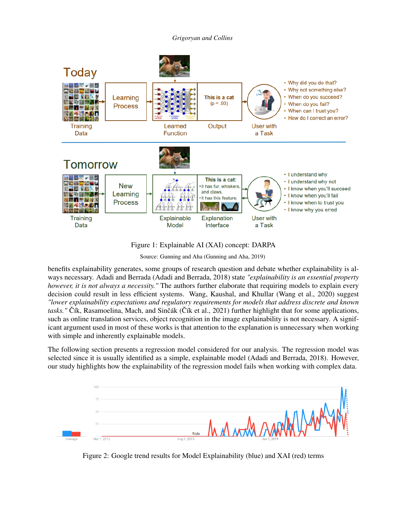



Figure 1: Explainable AI (XAI) concept: DARPA

Source: Gunning and Aha [\(Gunning and Aha, 2019\)](#page-9-4)

benefits explainability generates, some groups of research question and debate whether explainability is always necessary. Adadi and Berrada [\(Adadi and Berrada, 2018\)](#page-8-1) state *"explainability is an essential property however, it is not always a necessity."* The authors further elaborate that requiring models to explain every decision could result in less efficient systems. Wang, Kaushal, and Khullar [\(Wang et al., 2020\)](#page-9-6) suggest *"lower explainability expectations and regulatory requirements for models that address discrete and known tasks."* Čík, Rasamoelina, Mach, and Sinčák (Čík et al., 2021) further highlight that for some applications, such as online translation services, object recognition in the image explainability is not necessary. A significant argument used in most of these works is that attention to the explanation is unnecessary when working with simple and inherently explainable models.

The following section presents a regression model considered for our analysis. The regression model was selected since it is usually identified as a simple, explainable model [\(Adadi and Berrada, 2018\)](#page-8-1). However, our study highlights how the explainability of the regression model fails when working with complex data.



Figure 2: Google trend results for Model Explainability (blue) and XAI (red) terms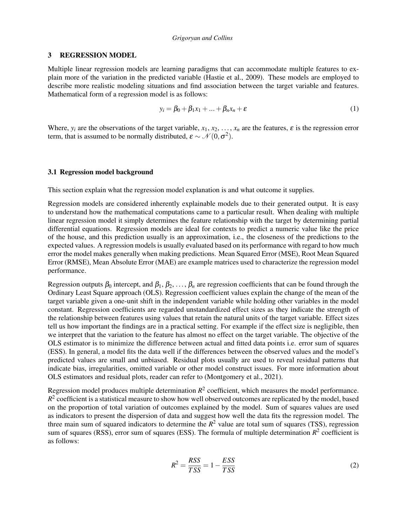### 3 REGRESSION MODEL

Multiple linear regression models are learning paradigms that can accommodate multiple features to explain more of the variation in the predicted variable [\(Hastie et al., 2009\)](#page-9-7). These models are employed to describe more realistic modeling situations and find association between the target variable and features. Mathematical form of a regression model is as follows:

$$
y_i = \beta_0 + \beta_1 x_1 + \dots + \beta_n x_n + \varepsilon \tag{1}
$$

Where,  $y_i$  are the observations of the target variable,  $x_1, x_2, \ldots, x_n$  are the features,  $\varepsilon$  is the regression error term, that is assumed to be normally distributed,  $\varepsilon \sim \mathcal{N}(0, \sigma^2)$ .

#### 3.1 Regression model background

This section explain what the regression model explanation is and what outcome it supplies.

Regression models are considered inherently explainable models due to their generated output. It is easy to understand how the mathematical computations came to a particular result. When dealing with multiple linear regression model it simply determines the feature relationship with the target by determining partial differential equations. Regression models are ideal for contexts to predict a numeric value like the price of the house, and this prediction usually is an approximation, i.e., the closeness of the predictions to the expected values. A regression models is usually evaluated based on its performance with regard to how much error the model makes generally when making predictions. Mean Squared Error (MSE), Root Mean Squared Error (RMSE), Mean Absolute Error (MAE) are example matrices used to characterize the regression model performance.

Regression outputs  $\beta_0$  intercept, and  $\beta_1, \beta_2, \ldots, \beta_n$  are regression coefficients that can be found through the Ordinary Least Square approach (OLS). Regression coefficient values explain the change of the mean of the target variable given a one-unit shift in the independent variable while holding other variables in the model constant. Regression coefficients are regarded unstandardized effect sizes as they indicate the strength of the relationship between features using values that retain the natural units of the target variable. Effect sizes tell us how important the findings are in a practical setting. For example if the effect size is negligible, then we interpret that the variation to the feature has almost no effect on the target variable. The objective of the OLS estimator is to minimize the difference between actual and fitted data points i.e. error sum of squares (ESS). In general, a model fits the data well if the differences between the observed values and the model's predicted values are small and unbiased. Residual plots usually are used to reveal residual patterns that indicate bias, irregularities, omitted variable or other model construct issues. For more information about OLS estimators and residual plots, reader can refer to [\(Montgomery et al., 2021\)](#page-9-8).

Regression model produces multiple determination  $R^2$  coefficient, which measures the model performance.  $R<sup>2</sup>$  coefficient is a statistical measure to show how well observed outcomes are replicated by the model, based on the proportion of total variation of outcomes explained by the model. Sum of squares values are used as indicators to present the dispersion of data and suggest how well the data fits the regression model. The three main sum of squared indicators to determine the  $R^2$  value are total sum of squares (TSS), regression sum of squares (RSS), error sum of squares (ESS). The formula of multiple determination  $R^2$  coefficient is as follows:

$$
R^2 = \frac{RSS}{TSS} = 1 - \frac{ESS}{TSS}
$$
\n<sup>(2)</sup>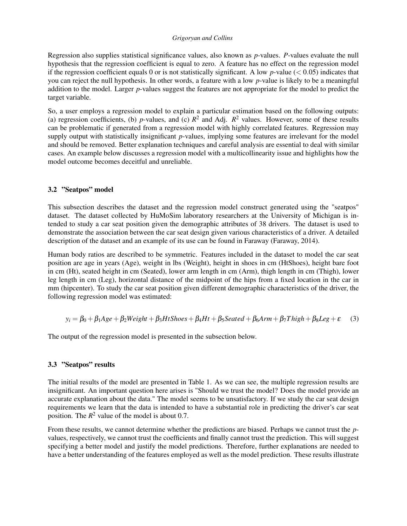Regression also supplies statistical significance values, also known as *p*-values. *P*-values evaluate the null hypothesis that the regression coefficient is equal to zero. A feature has no effect on the regression model if the regression coefficient equals 0 or is not statistically significant. A low  $p$ -value ( $< 0.05$ ) indicates that you can reject the null hypothesis. In other words, a feature with a low *p*-value is likely to be a meaningful addition to the model. Larger *p*-values suggest the features are not appropriate for the model to predict the target variable.

So, a user employs a regression model to explain a particular estimation based on the following outputs: (a) regression coefficients, (b) *p*-values, and (c)  $R^2$  and Adj.  $R^2$  values. However, some of these results can be problematic if generated from a regression model with highly correlated features. Regression may supply output with statistically insignificant *p*-values, implying some features are irrelevant for the model and should be removed. Better explanation techniques and careful analysis are essential to deal with similar cases. An example below discusses a regression model with a multicollinearity issue and highlights how the model outcome becomes deceitful and unreliable.

## 3.2 "Seatpos" model

This subsection describes the dataset and the regression model construct generated using the "seatpos" dataset. The dataset collected by HuMoSim laboratory researchers at the University of Michigan is intended to study a car seat position given the demographic attributes of 38 drivers. The dataset is used to demonstrate the association between the car seat design given various characteristics of a driver. A detailed description of the dataset and an example of its use can be found in Faraway [\(Faraway, 2014\)](#page-9-9).

Human body ratios are described to be symmetric. Features included in the dataset to model the car seat position are age in years (Age), weight in lbs (Weight), height in shoes in cm (HtShoes), height bare foot in cm (Ht), seated height in cm (Seated), lower arm length in cm (Arm), thigh length in cm (Thigh), lower leg length in cm (Leg), horizontal distance of the midpoint of the hips from a fixed location in the car in mm (hipcenter). To study the car seat position given different demographic characteristics of the driver, the following regression model was estimated:

$$
y_i = \beta_0 + \beta_1 Age + \beta_2 Weight + \beta_3 HtShoes + \beta_4 Ht + \beta_5 Seated + \beta_6 Arm + \beta_7 Thigh + \beta_8 Leg + \varepsilon
$$
 (3)

The output of the regression model is presented in the subsection below.

## 3.3 "Seatpos" results

The initial results of the model are presented in Table 1. As we can see, the multiple regression results are insignificant. An important question here arises is "Should we trust the model? Does the model provide an accurate explanation about the data." The model seems to be unsatisfactory. If we study the car seat design requirements we learn that the data is intended to have a substantial role in predicting the driver's car seat position. The  $R^2$  value of the model is about 0.7.

From these results, we cannot determine whether the predictions are biased. Perhaps we cannot trust the *p*values, respectively, we cannot trust the coefficients and finally cannot trust the prediction. This will suggest specifying a better model and justify the model predictions. Therefore, further explanations are needed to have a better understanding of the features employed as well as the model prediction. These results illustrate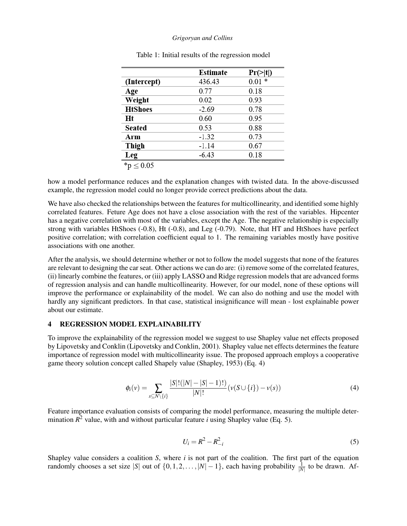|                | <b>Estimate</b> | $Pr(\ge  t )$ |
|----------------|-----------------|---------------|
| (Intercept)    | 436.43          | $0.01 *$      |
| Age            | 0.77            | 0.18          |
| Weight         | 0.02            | 0.93          |
| <b>HtShoes</b> | $-2.69$         | 0.78          |
| Ht             | 0.60            | 0.95          |
| <b>Seated</b>  | 0.53            | 0.88          |
| Arm            | $-1.32$         | 0.73          |
| Thigh          | $-1.14$         | 0.67          |
| Leg            | $-6.43$         | 0.18          |
| v > 0.05       |                 |               |

Table 1: Initial results of the regression model

how a model performance reduces and the explanation changes with twisted data. In the above-discussed example, the regression model could no longer provide correct predictions about the data.

We have also checked the relationships between the features for multicollinearity, and identified some highly correlated features. Feture Age does not have a close association with the rest of the variables. Hipcenter has a negative correlation with most of the variables, except the Age. The negative relationship is especially strong with variables HtShoes (-0.8), Ht (-0.8), and Leg (-0.79). Note, that HT and HtShoes have perfect positive correlation; with correlation coefficient equal to 1. The remaining variables mostly have positive associations with one another.

After the analysis, we should determine whether or not to follow the model suggests that none of the features are relevant to designing the car seat. Other actions we can do are: (i) remove some of the correlated features, (ii) linearly combine the features, or (iii) apply LASSO and Ridge regression models that are advanced forms of regression analysis and can handle multicollinearity. However, for our model, none of these options will improve the performance or explainability of the model. We can also do nothing and use the model with hardly any significant predictors. In that case, statistical insignificance will mean - lost explainable power about our estimate.

### 4 REGRESSION MODEL EXPLAINABILITY

To improve the explainability of the regression model we suggest to use Shapley value net effects proposed by Lipovetsky and Conklin [\(Lipovetsky and Conklin, 2001\)](#page-9-10). Shapley value net effects determines the feature importance of regression model with multicollinearity issue. The proposed approach employs a cooperative game theory solution concept called Shapely value [\(Shapley, 1953\)](#page-9-11) (Eq. 4)

$$
\phi_i(\nu) = \sum_{s \subseteq N \setminus \{i\}} \frac{|S|!(|N|-|S|-1)!)}{|N|!} (\nu(S \cup \{i\}) - \nu(s)) \tag{4}
$$

Feature importance evaluation consists of comparing the model performance, measuring the multiple determination  $R^2$  value, with and without particular feature *i* using Shapley value (Eq. 5).

$$
U_i = R^2 - R_{-i}^2
$$
 (5)

Shapley value considers a coalition *S*, where *i* is not part of the coalition. The first part of the equation randomly chooses a set size |S| out of  $\{0, 1, 2, ..., |N|-1\}$ , each having probability  $\frac{1}{|N|}$  to be drawn. Af-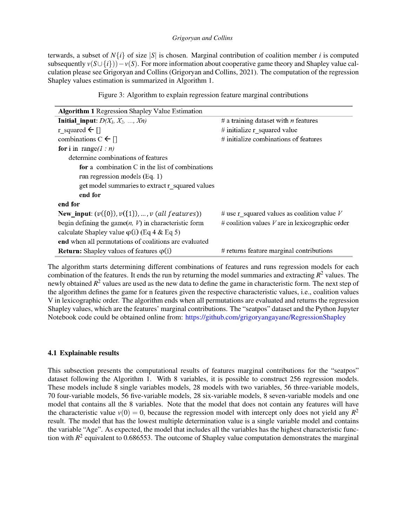terwards, a subset of  $N{i}$  of size |*S*| is chosen. Marginal contribution of coalition member *i* is computed subsequently  $v(S \cup \{i\}) - v(S)$ . For more information about cooperative game theory and Shapley value calculation please see Grigoryan and Collins [\(Grigoryan and Collins, 2021\)](#page-9-12). The computation of the regression Shapley values estimation is summarized in Algorithm 1.

|  |  |  | Figure 3: Algorithm to explain regression feature marginal contributions |
|--|--|--|--------------------------------------------------------------------------|
|  |  |  |                                                                          |

| <b>Algorithm 1 Regression Shapley Value Estimation</b>  |                                                     |
|---------------------------------------------------------|-----------------------------------------------------|
| <b>Initial input:</b> $D(X_1, X_2, , X_n)$              | # a training dataset with $n$ features              |
| r squared $\leftarrow$ []                               | # initialize $r$ squared value                      |
| combinations $C \leftarrow [$                           | $#$ initialize combinations of features             |
| for i in range( $1:n$ )                                 |                                                     |
| determine combinations of features                      |                                                     |
| for a combination $C$ in the list of combinations       |                                                     |
| run regression models $(Eq. 1)$                         |                                                     |
| get model summaries to extract r squared values         |                                                     |
| end for                                                 |                                                     |
| end for                                                 |                                                     |
| New input: $(v({0}), v({1}), , v$ (all features))       | # use r squared values as coalition value $V$       |
| begin defining the game $(n, V)$ in characteristic form | $#$ coalition values $V$ are in lexicographic order |
| calculate Shapley value $\varphi$ (i) (Eq 4 & Eq 5)     |                                                     |
| end when all permutations of coalitions are evaluated   |                                                     |
| <b>Return:</b> Shapley values of features $\varphi(i)$  | # returns feature marginal contributions            |

The algorithm starts determining different combinations of features and runs regression models for each combination of the features. It ends the run by returning the model summaries and extracting  $R^2$  values. The newly obtained *R* <sup>2</sup> values are used as the new data to define the game in characteristic form. The next step of the algorithm defines the game for n features given the respective characteristic values, i.e., coalition values V in lexicographic order. The algorithm ends when all permutations are evaluated and returns the regression Shapley values, which are the features' marginal contributions. The "seatpos" dataset and the Python Jupyter Notebook code could be obtained online from: <https://github.com/grigoryangayane/RegressionShapley>

## 4.1 Explainable results

This subsection presents the computational results of features marginal contributions for the "seatpos" dataset following the Algorithm 1. With 8 variables, it is possible to construct 256 regression models. These models include 8 single variables models, 28 models with two variables, 56 three-variable models, 70 four-variable models, 56 five-variable models, 28 six-variable models, 8 seven-variable models and one model that contains all the 8 variables. Note that the model that does not contain any features will have the characteristic value  $v(0) = 0$ , because the regression model with intercept only does not yield any  $R^2$ result. The model that has the lowest multiple determination value is a single variable model and contains the variable "Age". As expected, the model that includes all the variables has the highest characteristic function with  $R^2$  equivalent to 0.686553. The outcome of Shapley value computation demonstrates the marginal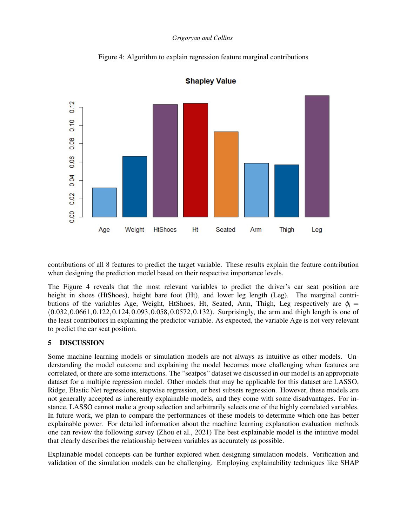Figure 4: Algorithm to explain regression feature marginal contributions



**Shapley Value** 

contributions of all 8 features to predict the target variable. These results explain the feature contribution when designing the prediction model based on their respective importance levels.

The Figure 4 reveals that the most relevant variables to predict the driver's car seat position are height in shoes (HtShoes), height bare foot (Ht), and lower leg length (Leg). The marginal contributions of the variables Age, Weight, HtShoes, Ht, Seated, Arm, Thigh, Leg respectively are  $\phi_i =$ (0.032,0.0661,0.122,0.124,0.093,0.058,0.0572,0.132). Surprisingly, the arm and thigh length is one of the least contributors in explaining the predictor variable. As expected, the variable Age is not very relevant to predict the car seat position.

## 5 DISCUSSION

Some machine learning models or simulation models are not always as intuitive as other models. Understanding the model outcome and explaining the model becomes more challenging when features are correlated, or there are some interactions. The "seatpos" dataset we discussed in our model is an appropriate dataset for a multiple regression model. Other models that may be applicable for this dataset are LASSO, Ridge, Elastic Net regressions, stepwise regression, or best subsets regression. However, these models are not generally accepted as inherently explainable models, and they come with some disadvantages. For instance, LASSO cannot make a group selection and arbitrarily selects one of the highly correlated variables. In future work, we plan to compare the performances of these models to determine which one has better explainable power. For detailed information about the machine learning explanation evaluation methods one can review the following survey [\(Zhou et al., 2021\)](#page-9-13) The best explainable model is the intuitive model that clearly describes the relationship between variables as accurately as possible.

Explainable model concepts can be further explored when designing simulation models. Verification and validation of the simulation models can be challenging. Employing explainability techniques like SHAP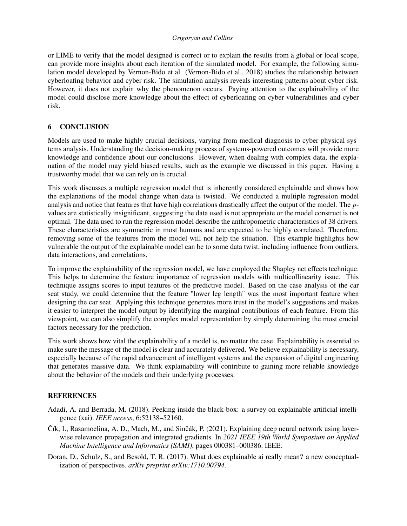or LIME to verify that the model designed is correct or to explain the results from a global or local scope, can provide more insights about each iteration of the simulated model. For example, the following simulation model developed by Vernon-Bido et al. [\(Vernon-Bido et al., 2018\)](#page-9-14) studies the relationship between cyberloafing behavior and cyber risk. The simulation analysis reveals interesting patterns about cyber risk. However, it does not explain why the phenomenon occurs. Paying attention to the explainability of the model could disclose more knowledge about the effect of cyberloafing on cyber vulnerabilities and cyber risk.

## 6 CONCLUSION

Models are used to make highly crucial decisions, varying from medical diagnosis to cyber-physical systems analysis. Understanding the decision-making process of systems-powered outcomes will provide more knowledge and confidence about our conclusions. However, when dealing with complex data, the explanation of the model may yield biased results, such as the example we discussed in this paper. Having a trustworthy model that we can rely on is crucial.

This work discusses a multiple regression model that is inherently considered explainable and shows how the explanations of the model change when data is twisted. We conducted a multiple regression model analysis and notice that features that have high correlations drastically affect the output of the model. The *p*values are statistically insignificant, suggesting the data used is not appropriate or the model construct is not optimal. The data used to run the regression model describe the anthropometric characteristics of 38 drivers. These characteristics are symmetric in most humans and are expected to be highly correlated. Therefore, removing some of the features from the model will not help the situation. This example highlights how vulnerable the output of the explainable model can be to some data twist, including influence from outliers, data interactions, and correlations.

To improve the explainability of the regression model, we have employed the Shapley net effects technique. This helps to determine the feature importance of regression models with multicollinearity issue. This technique assigns scores to input features of the predictive model. Based on the case analysis of the car seat study, we could determine that the feature "lower leg length" was the most important feature when designing the car seat. Applying this technique generates more trust in the model's suggestions and makes it easier to interpret the model output by identifying the marginal contributions of each feature. From this viewpoint, we can also simplify the complex model representation by simply determining the most crucial factors necessary for the prediction.

This work shows how vital the explainability of a model is, no matter the case. Explainability is essential to make sure the message of the model is clear and accurately delivered. We believe explainability is necessary, especially because of the rapid advancement of intelligent systems and the expansion of digital engineering that generates massive data. We think explainability will contribute to gaining more reliable knowledge about the behavior of the models and their underlying processes.

## **REFERENCES**

- <span id="page-8-1"></span>Adadi, A. and Berrada, M. (2018). Peeking inside the black-box: a survey on explainable artificial intelligence (xai). *IEEE access*, 6:52138–52160.
- <span id="page-8-2"></span>Cík, I., Rasamoelina, A. D., Mach, M., and Sinčák, P. (2021). Explaining deep neural network using layerwise relevance propagation and integrated gradients. In *2021 IEEE 19th World Symposium on Applied Machine Intelligence and Informatics (SAMI)*, pages 000381–000386. IEEE.
- <span id="page-8-0"></span>Doran, D., Schulz, S., and Besold, T. R. (2017). What does explainable ai really mean? a new conceptualization of perspectives. *arXiv preprint arXiv:1710.00794*.